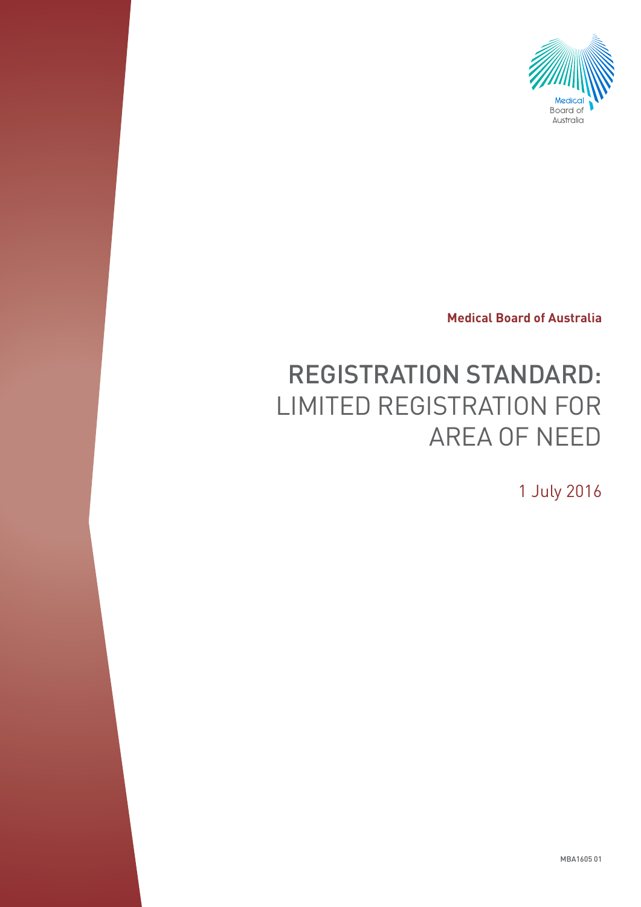

**Medical Board of Australia**

# REGISTRATION STANDARD: LIMITED REGISTRATION FOR AREA OF NEED

1 July 2016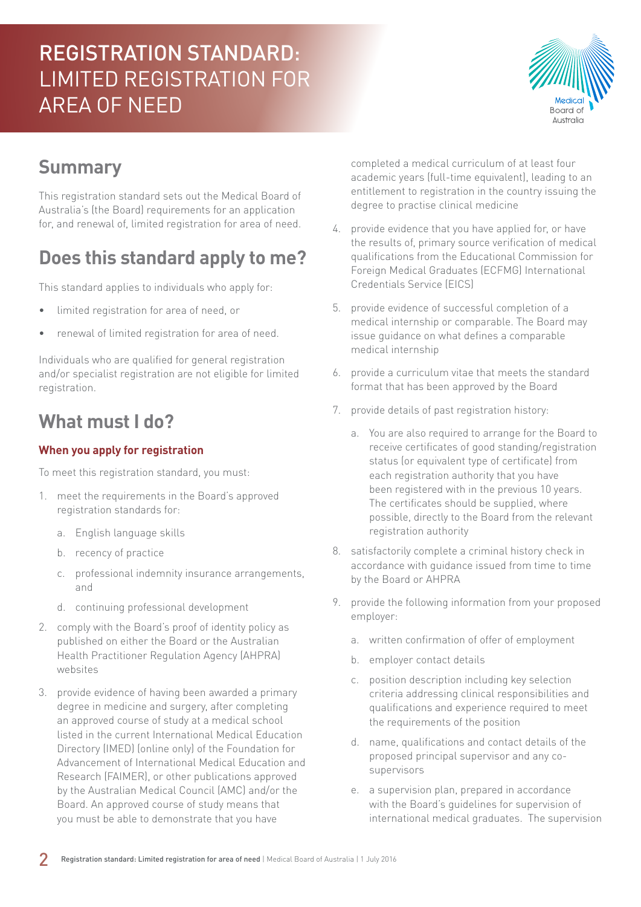

### **Summary**

This registration standard sets out the Medical Board of Australia's (the Board) requirements for an application for, and renewal of, limited registration for area of need.

### **Does this standard apply to me?**

This standard applies to individuals who apply for:

- limited registration for area of need, or
- renewal of limited registration for area of need.

Individuals who are qualified for general registration and/or specialist registration are not eligible for limited registration.

### **What must I do?**

#### **When you apply for registration**

To meet this registration standard, you must:

- 1. meet the requirements in the Board's approved registration standards for:
	- a. English language skills
	- b. recency of practice
	- c. professional indemnity insurance arrangements, and
	- d. continuing professional development
- 2. comply with the Board's proof of identity policy as published on either the Board or the Australian Health Practitioner Regulation Agency (AHPRA) websites
- 3. provide evidence of having been awarded a primary degree in medicine and surgery, after completing an approved course of study at a medical school listed in the current International Medical Education Directory (IMED) (online only) of the Foundation for Advancement of International Medical Education and Research (FAIMER), or other publications approved by the Australian Medical Council (AMC) and/or the Board. An approved course of study means that you must be able to demonstrate that you have

completed a medical curriculum of at least four academic years (full-time equivalent), leading to an entitlement to registration in the country issuing the degree to practise clinical medicine

- 4. provide evidence that you have applied for, or have the results of, primary source verification of medical qualifications from the Educational Commission for Foreign Medical Graduates (ECFMG) International Credentials Service (EICS)
- 5. provide evidence of successful completion of a medical internship or comparable. The Board may issue guidance on what defines a comparable medical internship
- 6. provide a curriculum vitae that meets the standard format that has been approved by the Board
- 7. provide details of past registration history:
	- a. You are also required to arrange for the Board to receive certificates of good standing/registration status (or equivalent type of certificate) from each registration authority that you have been registered with in the previous 10 years. The certificates should be supplied, where possible, directly to the Board from the relevant registration authority
- 8. satisfactorily complete a criminal history check in accordance with guidance issued from time to time by the Board or AHPRA
- 9. provide the following information from your proposed employer:
	- a. written confirmation of offer of employment
	- b. employer contact details
	- c. position description including key selection criteria addressing clinical responsibilities and qualifications and experience required to meet the requirements of the position
	- d. name, qualifications and contact details of the proposed principal supervisor and any cosupervisors
	- e. a supervision plan, prepared in accordance with the Board's quidelines for supervision of international medical graduates. The supervision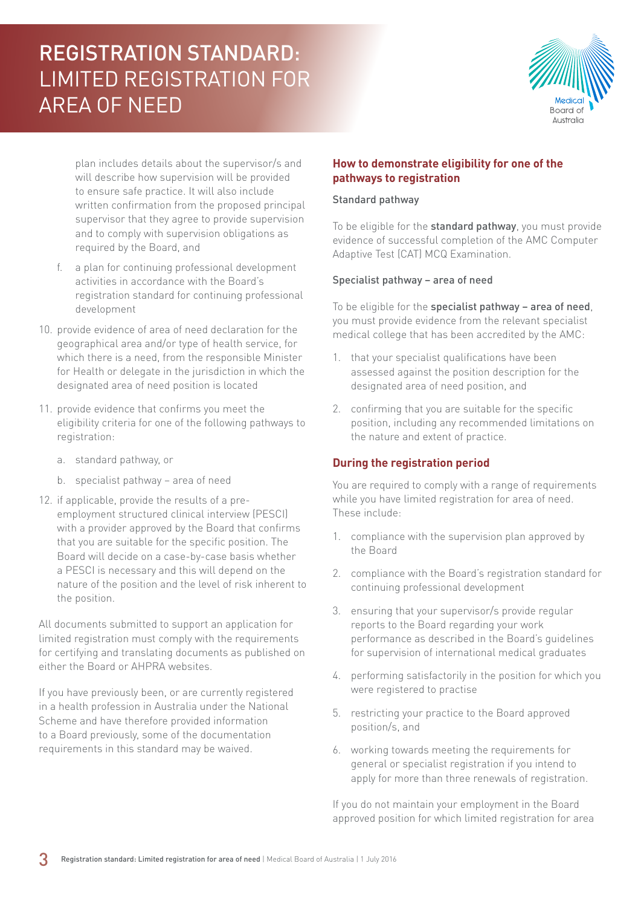

plan includes details about the supervisor/s and will describe how supervision will be provided to ensure safe practice. It will also include written confirmation from the proposed principal supervisor that they agree to provide supervision and to comply with supervision obligations as required by the Board, and

- f. a plan for continuing professional development activities in accordance with the Board's registration standard for continuing professional development
- 10. provide evidence of area of need declaration for the geographical area and/or type of health service, for which there is a need, from the responsible Minister for Health or delegate in the jurisdiction in which the designated area of need position is located
- 11. provide evidence that confirms you meet the eligibility criteria for one of the following pathways to registration:
	- a. standard pathway, or
	- b. specialist pathway area of need
- 12. if applicable, provide the results of a preemployment structured clinical interview (PESCI) with a provider approved by the Board that confirms that you are suitable for the specific position. The Board will decide on a case-by-case basis whether a PESCI is necessary and this will depend on the nature of the position and the level of risk inherent to the position.

All documents submitted to support an application for limited registration must comply with the requirements for certifying and translating documents as published on either the Board or AHPRA websites.

If you have previously been, or are currently registered in a health profession in Australia under the National Scheme and have therefore provided information to a Board previously, some of the documentation requirements in this standard may be waived.

#### **How to demonstrate eligibility for one of the pathways to registration**

#### Standard pathway

To be eligible for the standard pathway, you must provide evidence of successful completion of the AMC Computer Adaptive Test (CAT) MCQ Examination.

#### Specialist pathway – area of need

To be eligible for the specialist pathway – area of need, you must provide evidence from the relevant specialist medical college that has been accredited by the AMC:

- 1. that your specialist qualifications have been assessed against the position description for the designated area of need position, and
- 2. confirming that you are suitable for the specific position, including any recommended limitations on the nature and extent of practice.

#### **During the registration period**

You are required to comply with a range of requirements while you have limited registration for area of need. These include:

- 1. compliance with the supervision plan approved by the Board
- 2. compliance with the Board's registration standard for continuing professional development
- 3. ensuring that your supervisor/s provide regular reports to the Board regarding your work performance as described in the Board's guidelines for supervision of international medical graduates
- 4. performing satisfactorily in the position for which you were registered to practise
- 5. restricting your practice to the Board approved position/s, and
- 6. working towards meeting the requirements for general or specialist registration if you intend to apply for more than three renewals of registration.

If you do not maintain your employment in the Board approved position for which limited registration for area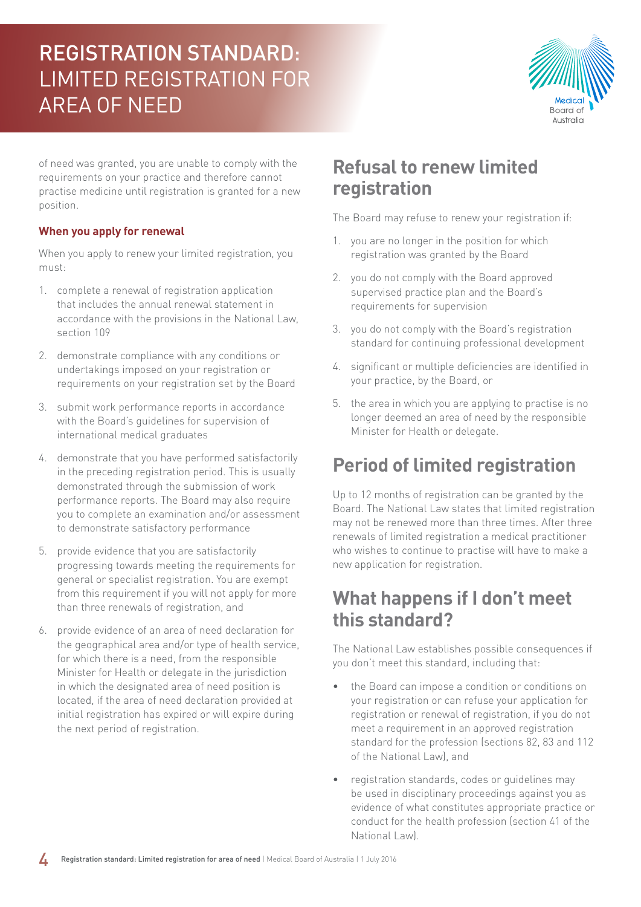

of need was granted, you are unable to comply with the requirements on your practice and therefore cannot practise medicine until registration is granted for a new position.

#### **When you apply for renewal**

When you apply to renew your limited registration, you must:

- 1. complete a renewal of registration application that includes the annual renewal statement in accordance with the provisions in the National Law, section 109
- 2. demonstrate compliance with any conditions or undertakings imposed on your registration or requirements on your registration set by the Board
- 3. submit work performance reports in accordance with the Board's guidelines for supervision of international medical graduates
- 4. demonstrate that you have performed satisfactorily in the preceding registration period. This is usually demonstrated through the submission of work performance reports. The Board may also require you to complete an examination and/or assessment to demonstrate satisfactory performance
- 5. provide evidence that you are satisfactorily progressing towards meeting the requirements for general or specialist registration. You are exempt from this requirement if you will not apply for more than three renewals of registration, and
- 6. provide evidence of an area of need declaration for the geographical area and/or type of health service, for which there is a need, from the responsible Minister for Health or delegate in the jurisdiction in which the designated area of need position is located, if the area of need declaration provided at initial registration has expired or will expire during the next period of registration.

### **Refusal to renew limited registration**

The Board may refuse to renew your registration if:

- 1. you are no longer in the position for which registration was granted by the Board
- 2. you do not comply with the Board approved supervised practice plan and the Board's requirements for supervision
- 3. you do not comply with the Board's registration standard for continuing professional development
- 4. significant or multiple deficiencies are identified in your practice, by the Board, or
- 5. the area in which you are applying to practise is no longer deemed an area of need by the responsible Minister for Health or delegate.

### **Period of limited registration**

Up to 12 months of registration can be granted by the Board. The National Law states that limited registration may not be renewed more than three times. After three renewals of limited registration a medical practitioner who wishes to continue to practise will have to make a new application for registration.

#### **What happens if I don't meet this standard?**

The National Law establishes possible consequences if you don't meet this standard, including that:

- the Board can impose a condition or conditions on your registration or can refuse your application for registration or renewal of registration, if you do not meet a requirement in an approved registration standard for the profession (sections 82, 83 and 112 of the National Law), and
- registration standards, codes or guidelines may be used in disciplinary proceedings against you as evidence of what constitutes appropriate practice or conduct for the health profession (section 41 of the National Law).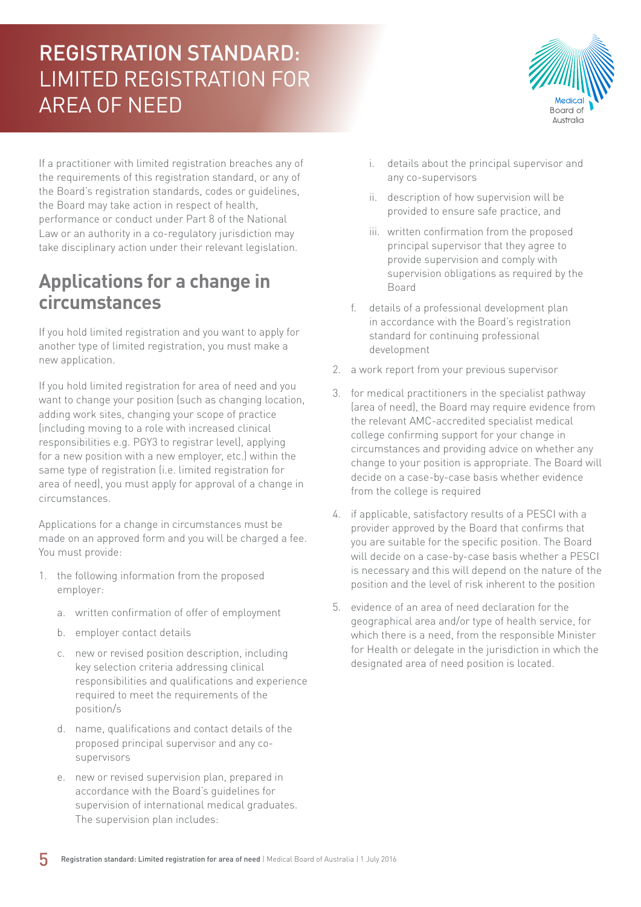

If a practitioner with limited registration breaches any of the requirements of this registration standard, or any of the Board's registration standards, codes or guidelines, the Board may take action in respect of health, performance or conduct under Part 8 of the National Law or an authority in a co-regulatory jurisdiction may take disciplinary action under their relevant legislation.

### **Applications for a change in circumstances**

If you hold limited registration and you want to apply for another type of limited registration, you must make a new application.

If you hold limited registration for area of need and you want to change your position (such as changing location, adding work sites, changing your scope of practice (including moving to a role with increased clinical responsibilities e.g. PGY3 to registrar level), applying for a new position with a new employer, etc.) within the same type of registration (i.e. limited registration for area of need), you must apply for approval of a change in circumstances.

Applications for a change in circumstances must be made on an approved form and you will be charged a fee. You must provide:

- 1. the following information from the proposed employer:
	- a. written confirmation of offer of employment
	- b. employer contact details
	- c. new or revised position description, including key selection criteria addressing clinical responsibilities and qualifications and experience required to meet the requirements of the position/s
	- d. name, qualifications and contact details of the proposed principal supervisor and any cosupervisors
	- e. new or revised supervision plan, prepared in accordance with the Board's guidelines for supervision of international medical graduates. The supervision plan includes:
- i. details about the principal supervisor and any co-supervisors
- ii. description of how supervision will be provided to ensure safe practice, and
- iii. written confirmation from the proposed principal supervisor that they agree to provide supervision and comply with supervision obligations as required by the Board
- f. details of a professional development plan in accordance with the Board's registration standard for continuing professional development
- 2. a work report from your previous supervisor
- 3. for medical practitioners in the specialist pathway (area of need), the Board may require evidence from the relevant AMC-accredited specialist medical college confirming support for your change in circumstances and providing advice on whether any change to your position is appropriate. The Board will decide on a case-by-case basis whether evidence from the college is required
- 4. if applicable, satisfactory results of a PESCI with a provider approved by the Board that confirms that you are suitable for the specific position. The Board will decide on a case-by-case basis whether a PESCI is necessary and this will depend on the nature of the position and the level of risk inherent to the position
- 5. evidence of an area of need declaration for the geographical area and/or type of health service, for which there is a need, from the responsible Minister for Health or delegate in the jurisdiction in which the designated area of need position is located.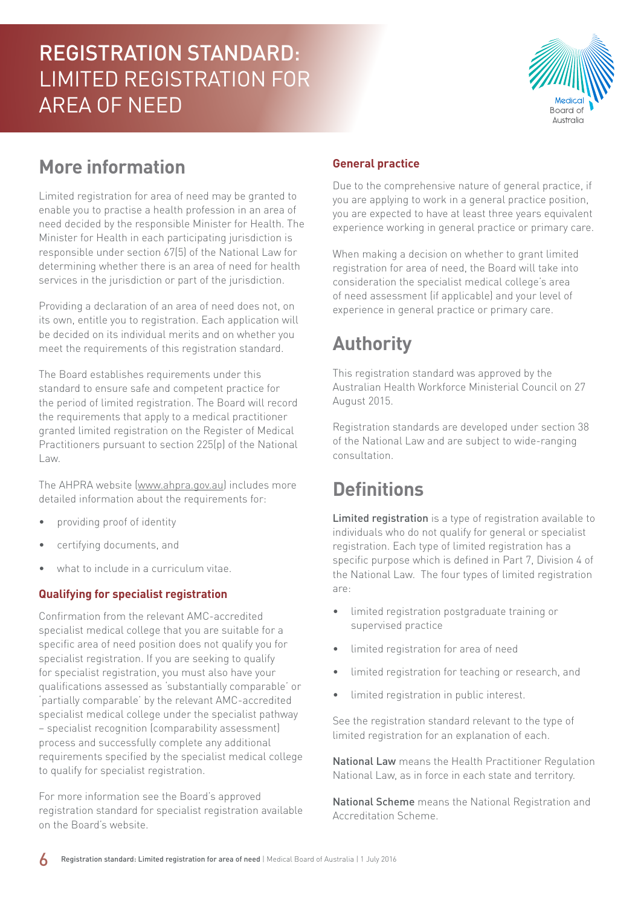

### **More information**

Limited registration for area of need may be granted to enable you to practise a health profession in an area of need decided by the responsible Minister for Health. The Minister for Health in each participating jurisdiction is responsible under section 67(5) of the National Law for determining whether there is an area of need for health services in the jurisdiction or part of the jurisdiction.

Providing a declaration of an area of need does not, on its own, entitle you to registration. Each application will be decided on its individual merits and on whether you meet the requirements of this registration standard.

The Board establishes requirements under this standard to ensure safe and competent practice for the period of limited registration. The Board will record the requirements that apply to a medical practitioner granted limited registration on the Register of Medical Practitioners pursuant to section 225(p) of the National Law.

The AHPRA website [\(www.ahpra.gov.au\)](http://www.ahpra.gov.au) includes more detailed information about the requirements for:

- providing proof of identity
- certifying documents, and
- what to include in a curriculum vitae.

#### **Qualifying for specialist registration**

Confirmation from the relevant AMC-accredited specialist medical college that you are suitable for a specific area of need position does not qualify you for specialist registration. If you are seeking to qualify for specialist registration, you must also have your qualifications assessed as 'substantially comparable' or 'partially comparable' by the relevant AMC-accredited specialist medical college under the specialist pathway – specialist recognition (comparability assessment) process and successfully complete any additional requirements specified by the specialist medical college to qualify for specialist registration.

For more information see the Board's approved registration standard for specialist registration available on the Board's website.

#### **General practice**

Due to the comprehensive nature of general practice, if you are applying to work in a general practice position, you are expected to have at least three years equivalent experience working in general practice or primary care.

When making a decision on whether to grant limited registration for area of need, the Board will take into consideration the specialist medical college's area of need assessment (if applicable) and your level of experience in general practice or primary care.

# **Authority**

This registration standard was approved by the Australian Health Workforce Ministerial Council on 27 August 2015.

Registration standards are developed under section 38 of the National Law and are subject to wide-ranging consultation.

### **Definitions**

Limited registration is a type of registration available to individuals who do not qualify for general or specialist registration. Each type of limited registration has a specific purpose which is defined in Part 7, Division 4 of the National Law. The four types of limited registration are:

- limited registration postgraduate training or supervised practice
- limited registration for area of need
- limited registration for teaching or research, and
- limited registration in public interest.

See the registration standard relevant to the type of limited registration for an explanation of each.

National Law means the Health Practitioner Regulation National Law, as in force in each state and territory.

National Scheme means the National Registration and Accreditation Scheme.